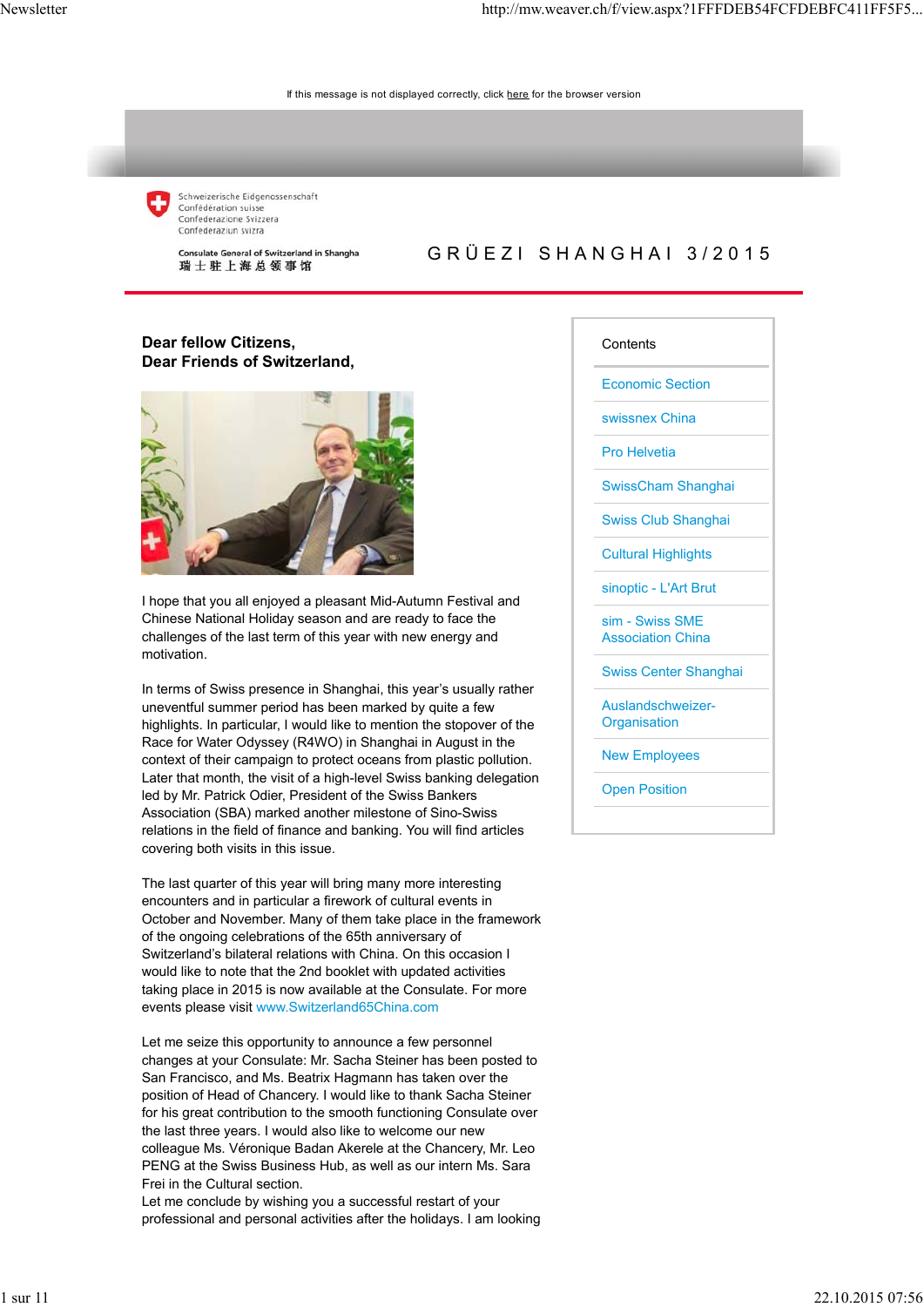

Schweizerische Eidgenossenschaft Confédération suisse Confederazione Svizzera Confederaziun svizra

Consulate General of Switzerland in Shanghai 瑞士驻上海总领事馆

### GRÜEZI SHANGHAI 3/2015

### **Dear fellow Citizens, Dear Friends of Switzerland,**



I hope that you all enjoyed a pleasant Mid-Autumn Festival and Chinese National Holiday season and are ready to face the challenges of the last term of this year with new energy and motivation.

In terms of Swiss presence in Shanghai, this year's usually rather uneventful summer period has been marked by quite a few highlights. In particular, I would like to mention the stopover of the Race for Water Odyssey (R4WO) in Shanghai in August in the context of their campaign to protect oceans from plastic pollution. Later that month, the visit of a high-level Swiss banking delegation led by Mr. Patrick Odier, President of the Swiss Bankers Association (SBA) marked another milestone of Sino-Swiss relations in the field of finance and banking. You will find articles covering both visits in this issue.

The last quarter of this year will bring many more interesting encounters and in particular a firework of cultural events in October and November. Many of them take place in the framework of the ongoing celebrations of the 65th anniversary of Switzerland's bilateral relations with China. On this occasion I would like to note that the 2nd booklet with updated activities taking place in 2015 is now available at the Consulate. For more events please visit www.Switzerland65China.com

Let me seize this opportunity to announce a few personnel changes at your Consulate: Mr. Sacha Steiner has been posted to San Francisco, and Ms. Beatrix Hagmann has taken over the position of Head of Chancery. I would like to thank Sacha Steiner for his great contribution to the smooth functioning Consulate over the last three years. I would also like to welcome our new colleague Ms. Véronique Badan Akerele at the Chancery, Mr. Leo PENG at the Swiss Business Hub, as well as our intern Ms. Sara Frei in the Cultural section.

Let me conclude by wishing you a successful restart of your professional and personal activities after the holidays. I am looking

#### **Contents**

Economic Section

swissnex China

Pro Helvetia

SwissCham Shanghai

Swiss Club Shanghai

Cultural Highlights

sinoptic - L'Art Brut

sim - Swiss SME Association China

Swiss Center Shanghai

Auslandschweizer-**Organisation** 

New Employees

Open Position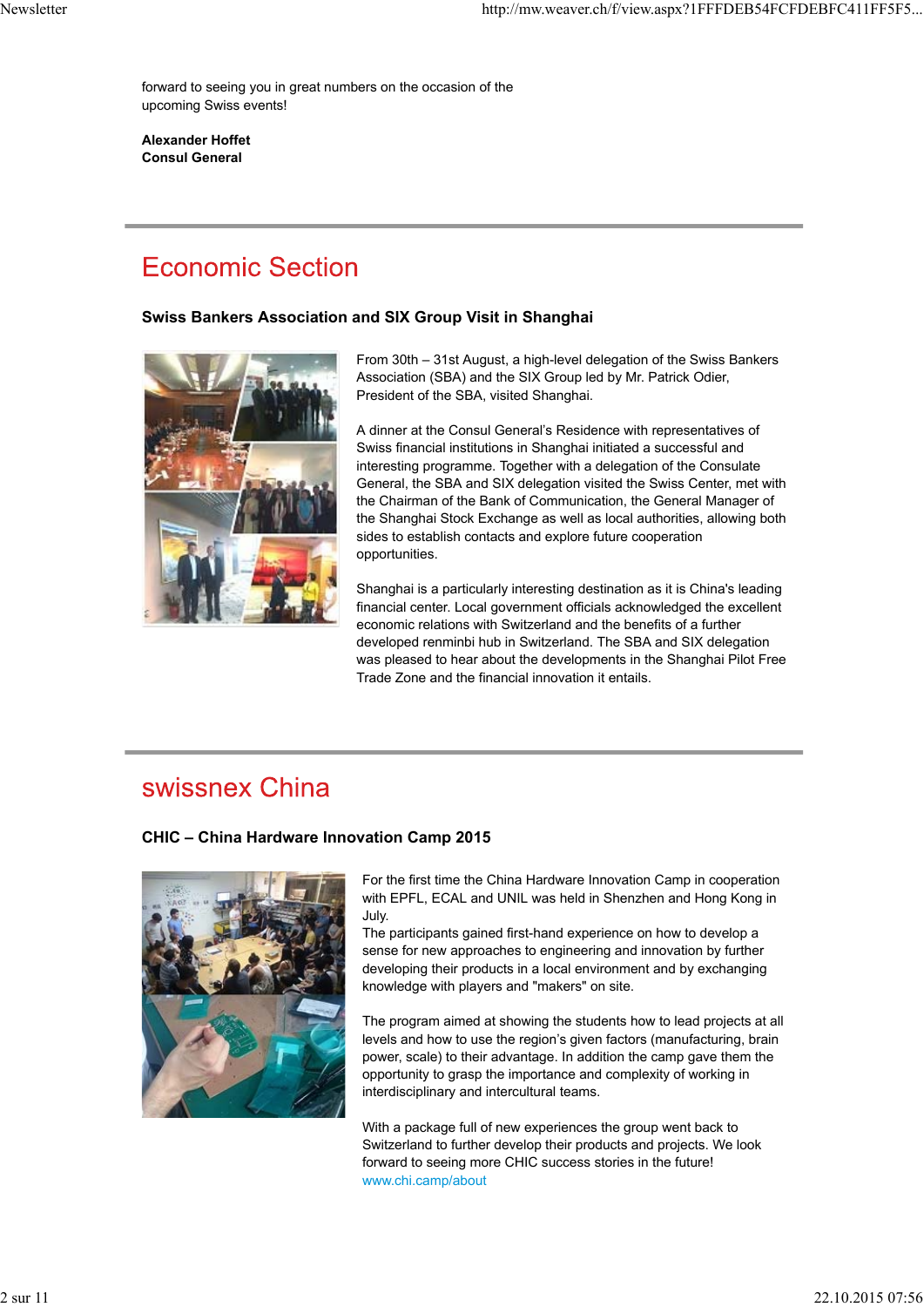forward to seeing you in great numbers on the occasion of the upcoming Swiss events!

**Alexander Hoffet Consul General**

## **Economic Section**

#### **Swiss Bankers Association and SIX Group Visit in Shanghai**



From 30th – 31st August, a high-level delegation of the Swiss Bankers Association (SBA) and the SIX Group led by Mr. Patrick Odier, President of the SBA, visited Shanghai.

A dinner at the Consul General's Residence with representatives of Swiss financial institutions in Shanghai initiated a successful and interesting programme. Together with a delegation of the Consulate General, the SBA and SIX delegation visited the Swiss Center, met with the Chairman of the Bank of Communication, the General Manager of the Shanghai Stock Exchange as well as local authorities, allowing both sides to establish contacts and explore future cooperation opportunities.

Shanghai is a particularly interesting destination as it is China's leading financial center. Local government officials acknowledged the excellent economic relations with Switzerland and the benefits of a further developed renminbi hub in Switzerland. The SBA and SIX delegation was pleased to hear about the developments in the Shanghai Pilot Free Trade Zone and the financial innovation it entails.

## swissnex China

### **CHIC – China Hardware Innovation Camp 2015**



For the first time the China Hardware Innovation Camp in cooperation with EPFL, ECAL and UNIL was held in Shenzhen and Hong Kong in July.

The participants gained first-hand experience on how to develop a sense for new approaches to engineering and innovation by further developing their products in a local environment and by exchanging knowledge with players and "makers" on site.

The program aimed at showing the students how to lead projects at all levels and how to use the region's given factors (manufacturing, brain power, scale) to their advantage. In addition the camp gave them the opportunity to grasp the importance and complexity of working in interdisciplinary and intercultural teams.

With a package full of new experiences the group went back to Switzerland to further develop their products and projects. We look forward to seeing more CHIC success stories in the future! www.chi.camp/about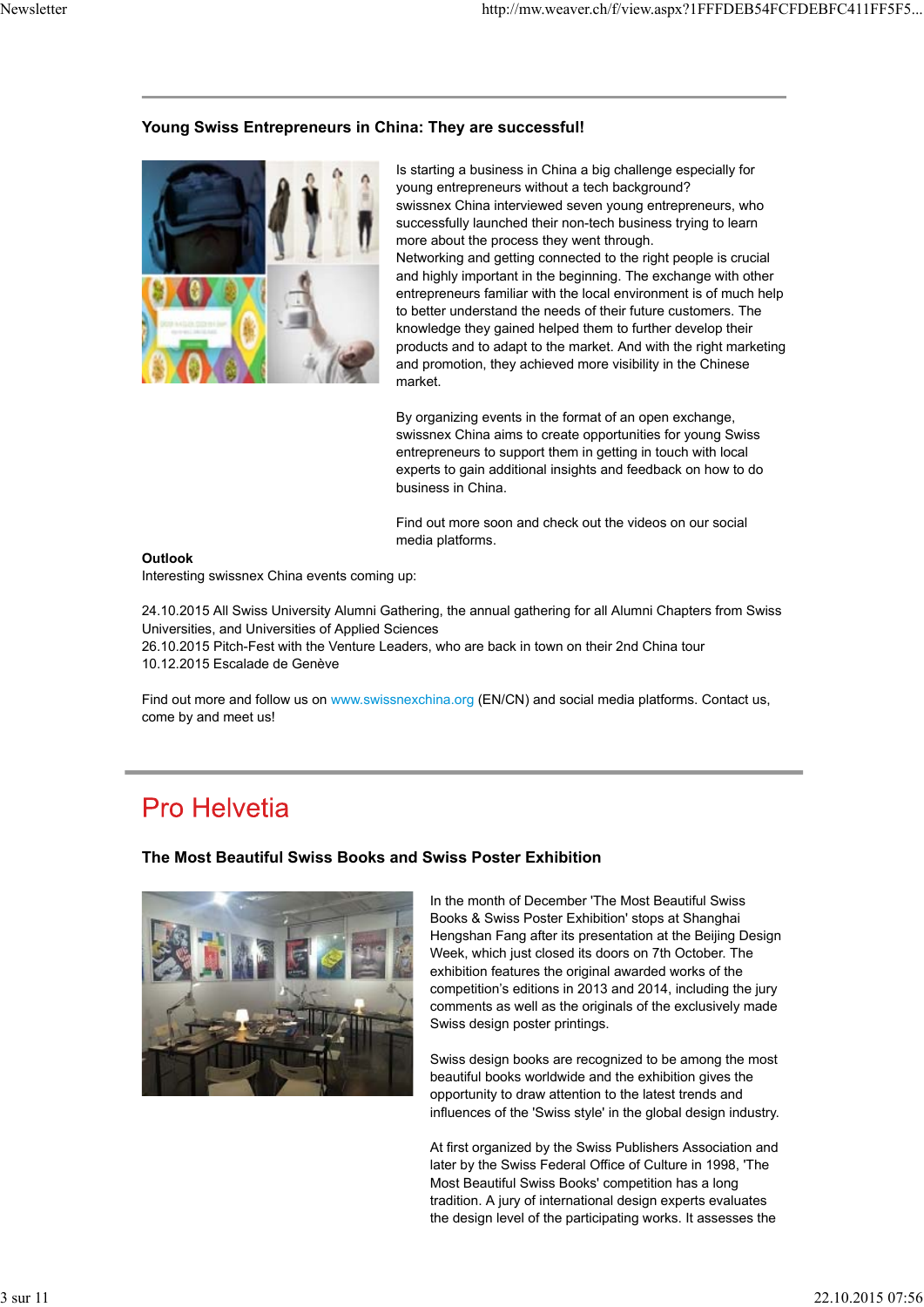#### **Young Swiss Entrepreneurs in China: They are successful!**



Is starting a business in China a big challenge especially for young entrepreneurs without a tech background? swissnex China interviewed seven young entrepreneurs, who successfully launched their non-tech business trying to learn more about the process they went through. Networking and getting connected to the right people is crucial and highly important in the beginning. The exchange with other entrepreneurs familiar with the local environment is of much help to better understand the needs of their future customers. The knowledge they gained helped them to further develop their products and to adapt to the market. And with the right marketing and promotion, they achieved more visibility in the Chinese market.

By organizing events in the format of an open exchange, swissnex China aims to create opportunities for young Swiss entrepreneurs to support them in getting in touch with local experts to gain additional insights and feedback on how to do business in China.

Find out more soon and check out the videos on our social media platforms.

#### **Outlook**

Interesting swissnex China events coming up:

24.10.2015 All Swiss University Alumni Gathering, the annual gathering for all Alumni Chapters from Swiss Universities, and Universities of Applied Sciences

26.10.2015 Pitch-Fest with the Venture Leaders, who are back in town on their 2nd China tour 10.12.2015 Escalade de Genève

Find out more and follow us on www.swissnexchina.org (EN/CN) and social media platforms. Contact us, come by and meet us!

## **Pro Helvetia**

#### **The Most Beautiful Swiss Books and Swiss Poster Exhibition**



In the month of December 'The Most Beautiful Swiss Books & Swiss Poster Exhibition' stops at Shanghai Hengshan Fang after its presentation at the Beijing Design Week, which just closed its doors on 7th October. The exhibition features the original awarded works of the competition's editions in 2013 and 2014, including the jury comments as well as the originals of the exclusively made Swiss design poster printings.

Swiss design books are recognized to be among the most beautiful books worldwide and the exhibition gives the opportunity to draw attention to the latest trends and influences of the 'Swiss style' in the global design industry.

At first organized by the Swiss Publishers Association and later by the Swiss Federal Office of Culture in 1998, 'The Most Beautiful Swiss Books' competition has a long tradition. A jury of international design experts evaluates the design level of the participating works. It assesses the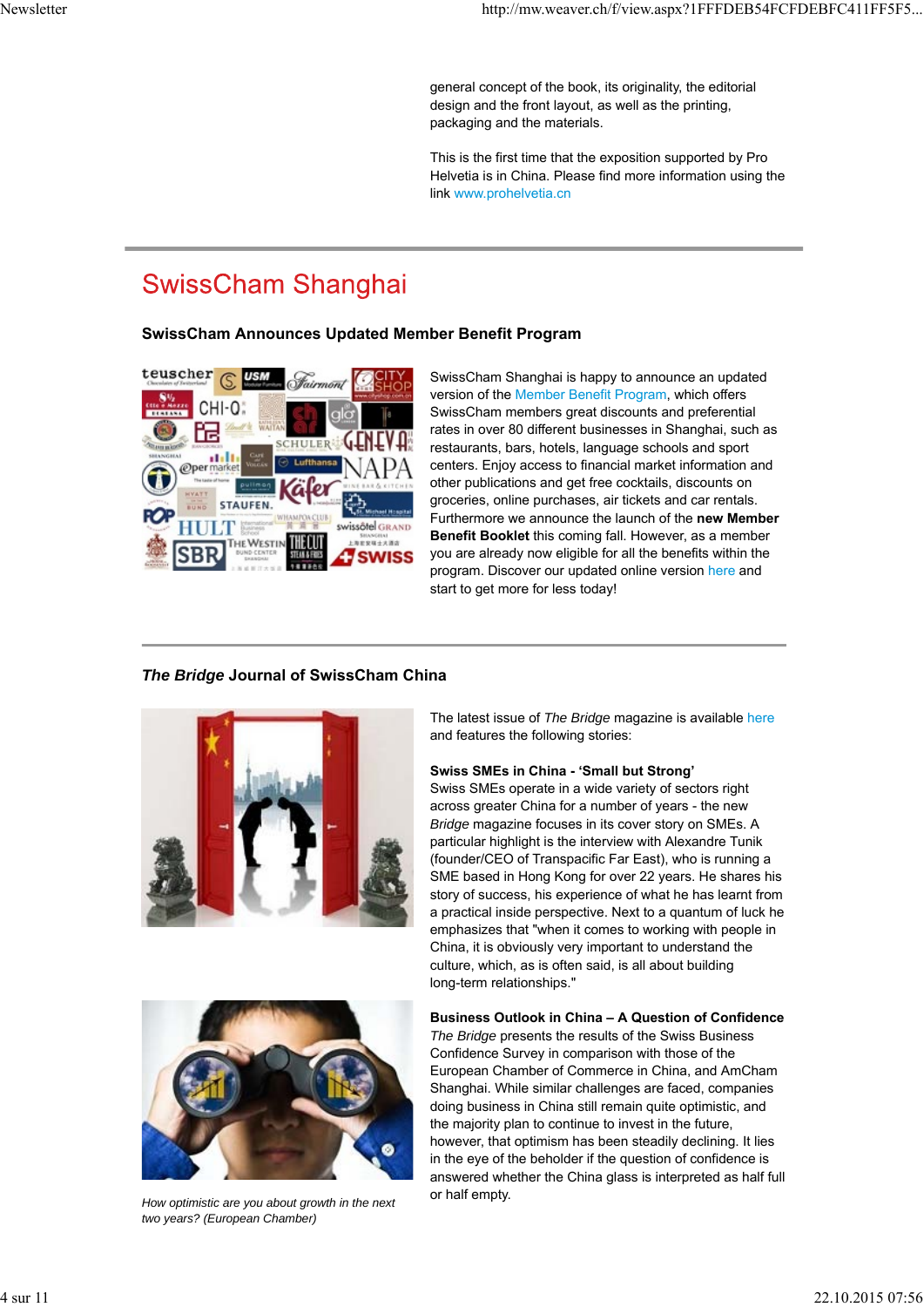general concept of the book, its originality, the editorial design and the front layout, as well as the printing, packaging and the materials.

This is the first time that the exposition supported by Pro Helvetia is in China. Please find more information using the link www.prohelvetia.cn

# **SwissCham Shanghai**

### **SwissCham Announces Updated Member Benefit Program**



SwissCham Shanghai is happy to announce an updated version of the Member Benefit Program, which offers SwissCham members great discounts and preferential rates in over 80 different businesses in Shanghai, such as restaurants, bars, hotels, language schools and sport centers. Enjoy access to financial market information and other publications and get free cocktails, discounts on groceries, online purchases, air tickets and car rentals. Furthermore we announce the launch of the **new Member Benefit Booklet** this coming fall. However, as a member you are already now eligible for all the benefits within the program. Discover our updated online version here and start to get more for less today!

### *The Bridge* **Journal of SwissCham China**





*How optimistic are you about growth in the next two years? (European Chamber)*

The latest issue of *The Bridge* magazine is available here and features the following stories:

#### **Swiss SMEs in China - 'Small but Strong'**

Swiss SMEs operate in a wide variety of sectors right across greater China for a number of years - the new *Bridge* magazine focuses in its cover story on SMEs. A particular highlight is the interview with Alexandre Tunik (founder/CEO of Transpacific Far East), who is running a SME based in Hong Kong for over 22 years. He shares his story of success, his experience of what he has learnt from a practical inside perspective. Next to a quantum of luck he emphasizes that "when it comes to working with people in China, it is obviously very important to understand the culture, which, as is often said, is all about building long-term relationships."

#### **Business Outlook in China – A Question of Confidence**

*The Bridge* presents the results of the Swiss Business Confidence Survey in comparison with those of the European Chamber of Commerce in China, and AmCham Shanghai. While similar challenges are faced, companies doing business in China still remain quite optimistic, and the majority plan to continue to invest in the future, however, that optimism has been steadily declining. It lies in the eye of the beholder if the question of confidence is answered whether the China glass is interpreted as half full or half empty.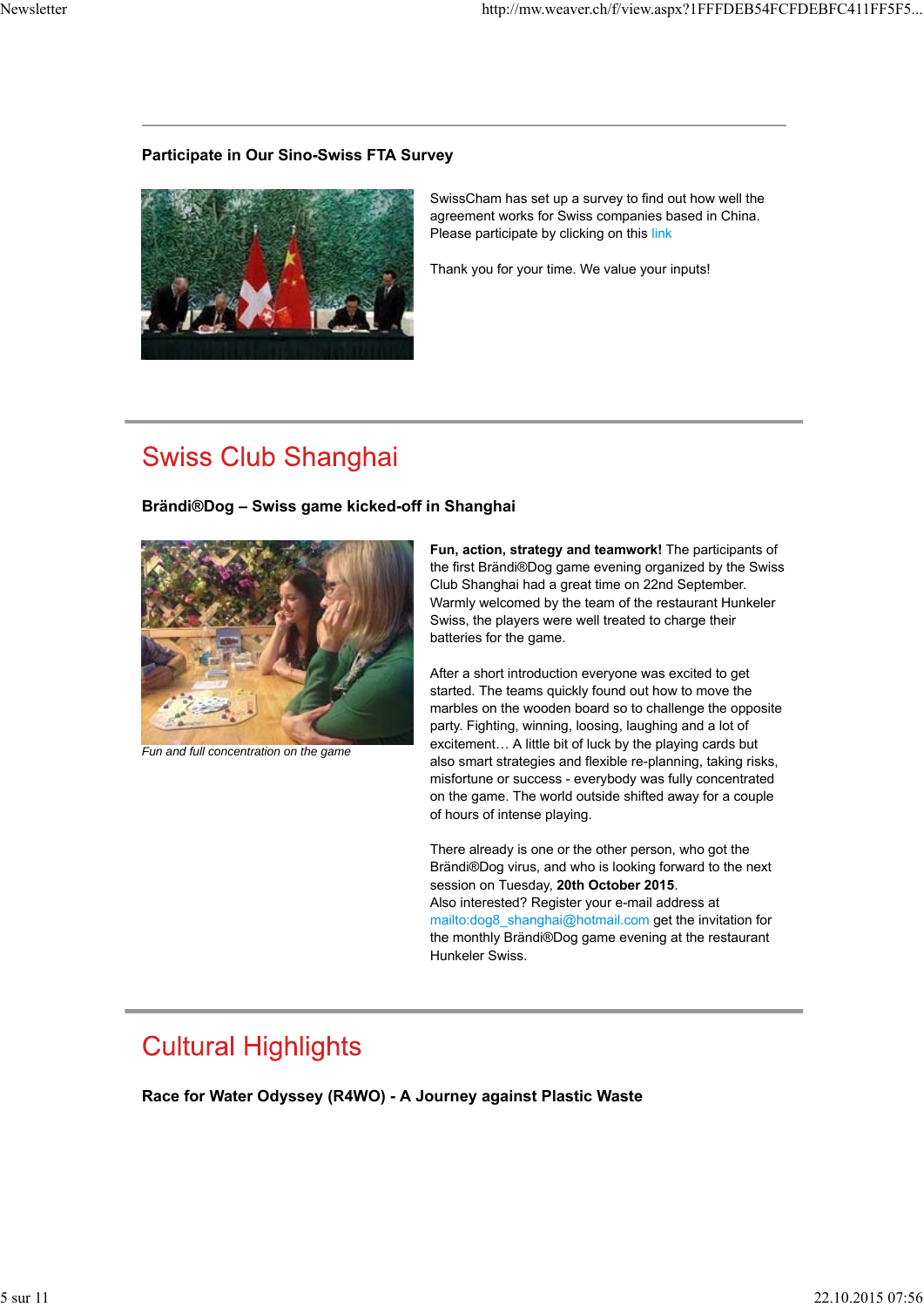### **Participate in Our Sino-Swiss FTA Survey**



SwissCham has set up a survey to find out how well the agreement works for Swiss companies based in China. Please participate by clicking on this link

Thank you for your time. We value your inputs!

## **Swiss Club Shanghai**

### **Brändi®Dog – Swiss game kicked-off in Shanghai**



*Fun and full concentration on the game*

**Fun, action, strategy and teamwork!** The participants of the first Brändi®Dog game evening organized by the Swiss Club Shanghai had a great time on 22nd September. Warmly welcomed by the team of the restaurant Hunkeler Swiss, the players were well treated to charge their batteries for the game.

After a short introduction everyone was excited to get started. The teams quickly found out how to move the marbles on the wooden board so to challenge the opposite party. Fighting, winning, loosing, laughing and a lot of excitement… A little bit of luck by the playing cards but also smart strategies and flexible re-planning, taking risks, misfortune or success - everybody was fully concentrated on the game. The world outside shifted away for a couple of hours of intense playing.

There already is one or the other person, who got the Brändi®Dog virus, and who is looking forward to the next session on Tuesday, **20th October 2015**.

Also interested? Register your e-mail address at mailto:dog8\_shanghai@hotmail.com get the invitation for the monthly Brändi®Dog game evening at the restaurant Hunkeler Swiss.

# **Cultural Highlights**

**Race for Water Odyssey (R4WO) - A Journey against Plastic Waste**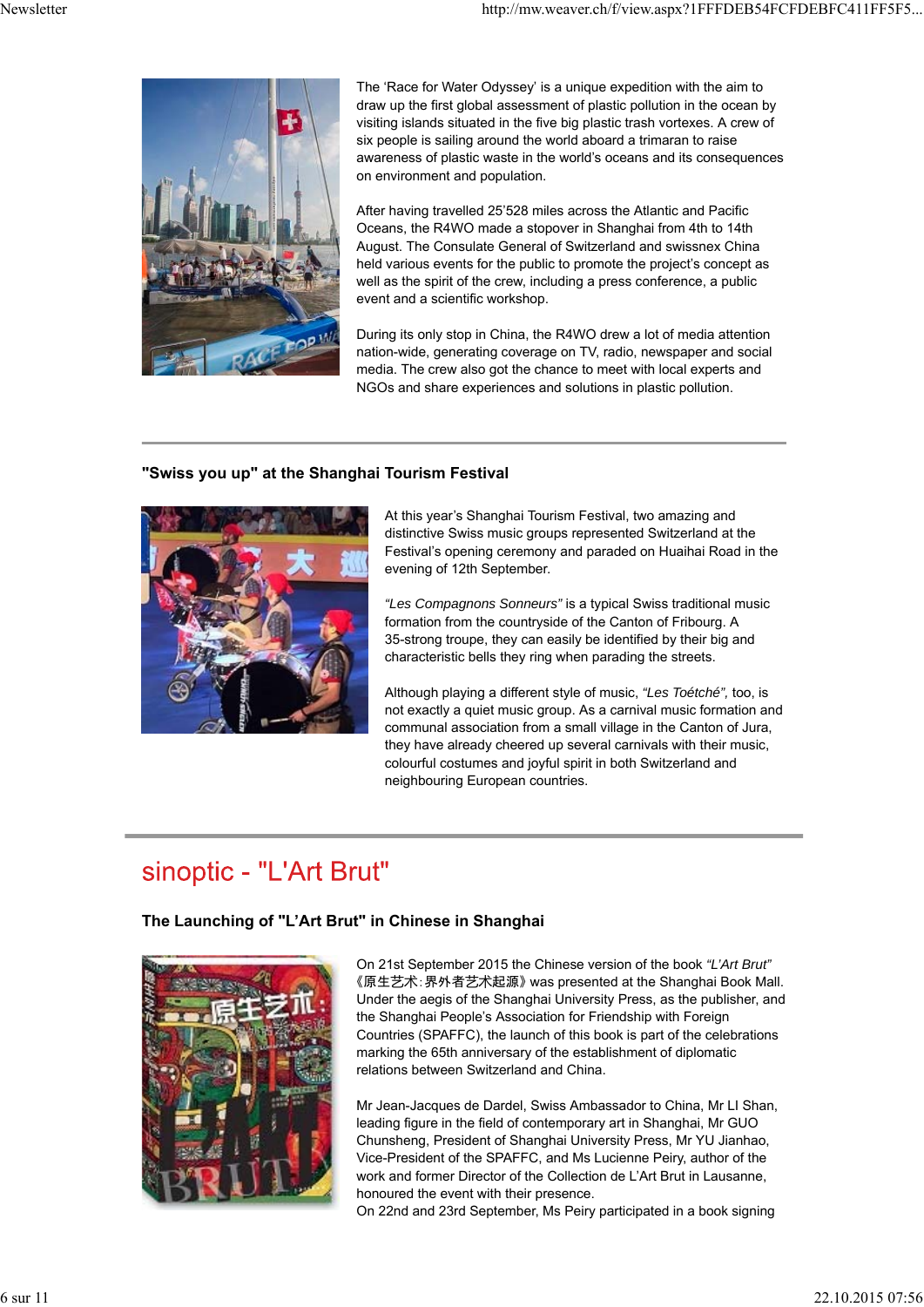

The 'Race for Water Odyssey' is a unique expedition with the aim to draw up the first global assessment of plastic pollution in the ocean by visiting islands situated in the five big plastic trash vortexes. A crew of six people is sailing around the world aboard a trimaran to raise awareness of plastic waste in the world's oceans and its consequences on environment and population.

After having travelled 25'528 miles across the Atlantic and Pacific Oceans, the R4WO made a stopover in Shanghai from 4th to 14th August. The Consulate General of Switzerland and swissnex China held various events for the public to promote the project's concept as well as the spirit of the crew, including a press conference, a public event and a scientific workshop.

During its only stop in China, the R4WO drew a lot of media attention nation-wide, generating coverage on TV, radio, newspaper and social media. The crew also got the chance to meet with local experts and NGOs and share experiences and solutions in plastic pollution.

### **"Swiss you up" at the Shanghai Tourism Festival**



At this year's Shanghai Tourism Festival, two amazing and distinctive Swiss music groups represented Switzerland at the Festival's opening ceremony and paraded on Huaihai Road in the evening of 12th September.

*"Les Compagnons Sonneurs"* is a typical Swiss traditional music formation from the countryside of the Canton of Fribourg. A 35-strong troupe, they can easily be identified by their big and characteristic bells they ring when parading the streets.

Although playing a different style of music, *"Les Toétché",* too, is not exactly a quiet music group. As a carnival music formation and communal association from a small village in the Canton of Jura, they have already cheered up several carnivals with their music, colourful costumes and joyful spirit in both Switzerland and neighbouring European countries.

## sinoptic - "L'Art Brut"

### **The Launching of "L'Art Brut" in Chinese in Shanghai**



On 21st September 2015 the Chinese version of the book *"L'Art Brut"* 《原生艺术:界外者艺术起源》 was presented at the Shanghai Book Mall. Under the aegis of the Shanghai University Press, as the publisher, and the Shanghai People's Association for Friendship with Foreign Countries (SPAFFC), the launch of this book is part of the celebrations marking the 65th anniversary of the establishment of diplomatic relations between Switzerland and China.

Mr Jean-Jacques de Dardel, Swiss Ambassador to China, Mr LI Shan, leading figure in the field of contemporary art in Shanghai, Mr GUO Chunsheng, President of Shanghai University Press, Mr YU Jianhao, Vice-President of the SPAFFC, and Ms Lucienne Peiry, author of the work and former Director of the Collection de L'Art Brut in Lausanne, honoured the event with their presence.

On 22nd and 23rd September, Ms Peiry participated in a book signing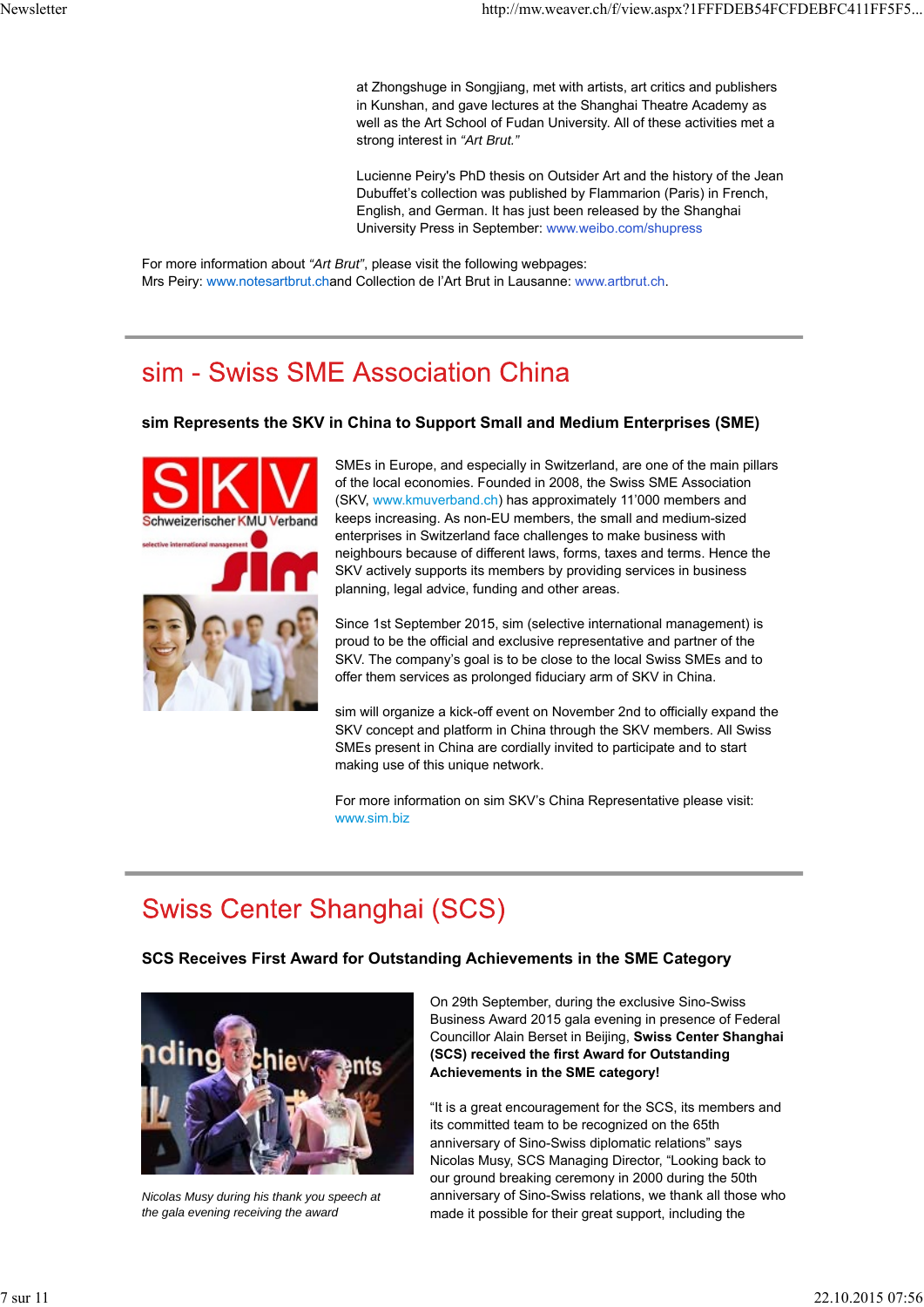at Zhongshuge in Songjiang, met with artists, art critics and publishers in Kunshan, and gave lectures at the Shanghai Theatre Academy as well as the Art School of Fudan University. All of these activities met a strong interest in *"Art Brut."*

Lucienne Peiry's PhD thesis on Outsider Art and the history of the Jean Dubuffet's collection was published by Flammarion (Paris) in French, English, and German. It has just been released by the Shanghai University Press in September: www.weibo.com/shupress

For more information about *"Art Brut"*, please visit the following webpages: Mrs Peiry: www.notesartbrut.chand Collection de l'Art Brut in Lausanne: www.artbrut.ch.

# sim - Swiss SME Association China

### **sim Represents the SKV in China to Support Small and Medium Enterprises (SME)**



SMEs in Europe, and especially in Switzerland, are one of the main pillars of the local economies. Founded in 2008, the Swiss SME Association (SKV, www.kmuverband.ch) has approximately 11'000 members and keeps increasing. As non-EU members, the small and medium-sized enterprises in Switzerland face challenges to make business with neighbours because of different laws, forms, taxes and terms. Hence the SKV actively supports its members by providing services in business planning, legal advice, funding and other areas.

Since 1st September 2015, sim (selective international management) is proud to be the official and exclusive representative and partner of the SKV. The company's goal is to be close to the local Swiss SMEs and to offer them services as prolonged fiduciary arm of SKV in China.

sim will organize a kick-off event on November 2nd to officially expand the SKV concept and platform in China through the SKV members. All Swiss SMEs present in China are cordially invited to participate and to start making use of this unique network.

For more information on sim SKV's China Representative please visit: www.sim.biz

# **Swiss Center Shanghai (SCS)**

### **SCS Receives First Award for Outstanding Achievements in the SME Category**



*Nicolas Musy during his thank you speech at the gala evening receiving the award*

On 29th September, during the exclusive Sino-Swiss Business Award 2015 gala evening in presence of Federal Councillor Alain Berset in Beijing, **Swiss Center Shanghai (SCS) received the first Award for Outstanding Achievements in the SME category!**

"It is a great encouragement for the SCS, its members and its committed team to be recognized on the 65th anniversary of Sino-Swiss diplomatic relations" says Nicolas Musy, SCS Managing Director, "Looking back to our ground breaking ceremony in 2000 during the 50th anniversary of Sino-Swiss relations, we thank all those who made it possible for their great support, including the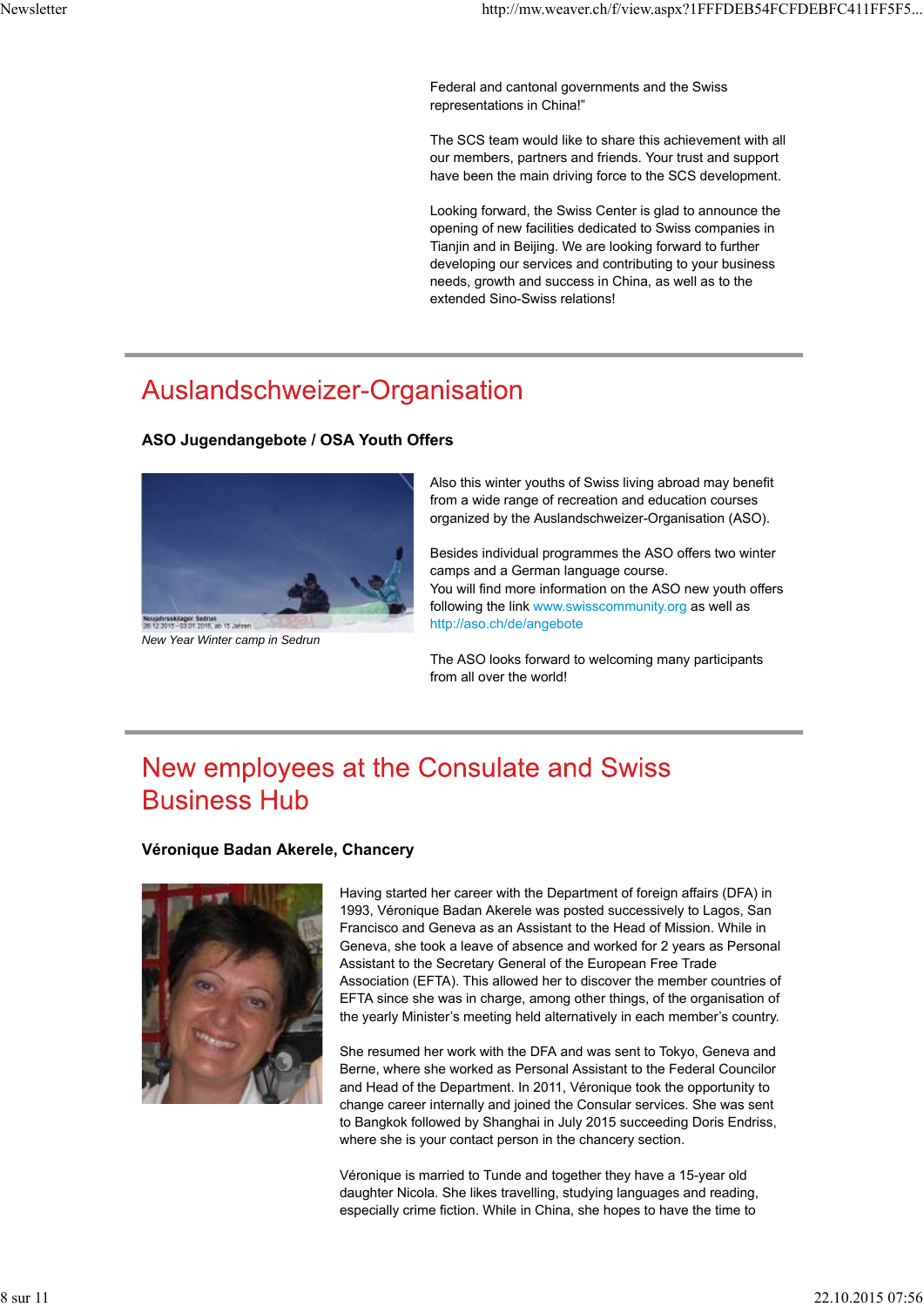Federal and cantonal governments and the Swiss representations in China!"

The SCS team would like to share this achievement with all our members, partners and friends. Your trust and support have been the main driving force to the SCS development.

Looking forward, the Swiss Center is glad to announce the opening of new facilities dedicated to Swiss companies in Tianjin and in Beijing. We are looking forward to further developing our services and contributing to your business needs, growth and success in China, as well as to the extended Sino-Swiss relations!

## Auslandschweizer-Organisation

#### **ASO Jugendangebote / OSA Youth Offers**



*New Year Winter camp in Sedrun*

Also this winter youths of Swiss living abroad may benefit from a wide range of recreation and education courses organized by the Auslandschweizer-Organisation (ASO).

Besides individual programmes the ASO offers two winter camps and a German language course. You will find more information on the ASO new youth offers following the link www.swisscommunity.org as well as http://aso.ch/de/angebote

The ASO looks forward to welcoming many participants from all over the world!

## New employees at the Consulate and Swiss **Business Hub**

#### **Véronique Badan Akerele, Chancery**



Having started her career with the Department of foreign affairs (DFA) in 1993, Véronique Badan Akerele was posted successively to Lagos, San Francisco and Geneva as an Assistant to the Head of Mission. While in Geneva, she took a leave of absence and worked for 2 years as Personal Assistant to the Secretary General of the European Free Trade Association (EFTA). This allowed her to discover the member countries of EFTA since she was in charge, among other things, of the organisation of the yearly Minister's meeting held alternatively in each member's country.

She resumed her work with the DFA and was sent to Tokyo, Geneva and Berne, where she worked as Personal Assistant to the Federal Councilor and Head of the Department. In 2011, Véronique took the opportunity to change career internally and joined the Consular services. She was sent to Bangkok followed by Shanghai in July 2015 succeeding Doris Endriss, where she is your contact person in the chancery section.

Véronique is married to Tunde and together they have a 15-year old daughter Nicola. She likes travelling, studying languages and reading, especially crime fiction. While in China, she hopes to have the time to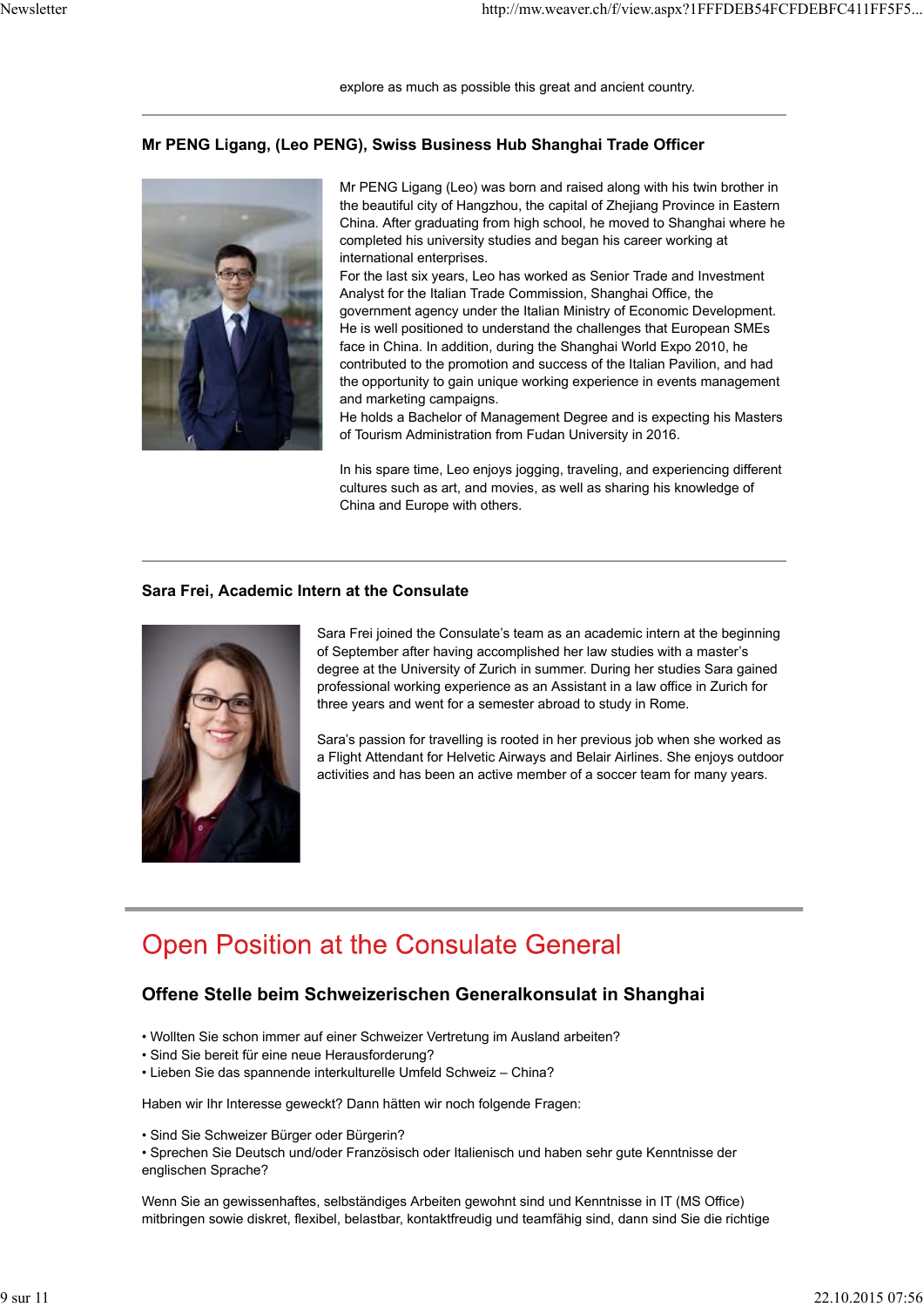#### **Mr PENG Ligang, (Leo PENG), Swiss Business Hub Shanghai Trade Officer**



Mr PENG Ligang (Leo) was born and raised along with his twin brother in the beautiful city of Hangzhou, the capital of Zhejiang Province in Eastern China. After graduating from high school, he moved to Shanghai where he completed his university studies and began his career working at international enterprises.

For the last six years, Leo has worked as Senior Trade and Investment Analyst for the Italian Trade Commission, Shanghai Office, the government agency under the Italian Ministry of Economic Development. He is well positioned to understand the challenges that European SMEs face in China. In addition, during the Shanghai World Expo 2010, he contributed to the promotion and success of the Italian Pavilion, and had the opportunity to gain unique working experience in events management and marketing campaigns.

He holds a Bachelor of Management Degree and is expecting his Masters of Tourism Administration from Fudan University in 2016.

In his spare time, Leo enjoys jogging, traveling, and experiencing different cultures such as art, and movies, as well as sharing his knowledge of China and Europe with others.

#### **Sara Frei, Academic Intern at the Consulate**



Sara Frei joined the Consulate's team as an academic intern at the beginning of September after having accomplished her law studies with a master's degree at the University of Zurich in summer. During her studies Sara gained professional working experience as an Assistant in a law office in Zurich for three years and went for a semester abroad to study in Rome.

Sara's passion for travelling is rooted in her previous job when she worked as a Flight Attendant for Helvetic Airways and Belair Airlines. She enjoys outdoor activities and has been an active member of a soccer team for many years.

## **Open Position at the Consulate General**

### **Offene Stelle beim Schweizerischen Generalkonsulat in Shanghai**

- Wollten Sie schon immer auf einer Schweizer Vertretung im Ausland arbeiten?
- Sind Sie bereit für eine neue Herausforderung?
- Lieben Sie das spannende interkulturelle Umfeld Schweiz China?

Haben wir Ihr Interesse geweckt? Dann hätten wir noch folgende Fragen:

• Sind Sie Schweizer Bürger oder Bürgerin?

• Sprechen Sie Deutsch und/oder Französisch oder Italienisch und haben sehr gute Kenntnisse der englischen Sprache?

Wenn Sie an gewissenhaftes, selbständiges Arbeiten gewohnt sind und Kenntnisse in IT (MS Office) mitbringen sowie diskret, flexibel, belastbar, kontaktfreudig und teamfähig sind, dann sind Sie die richtige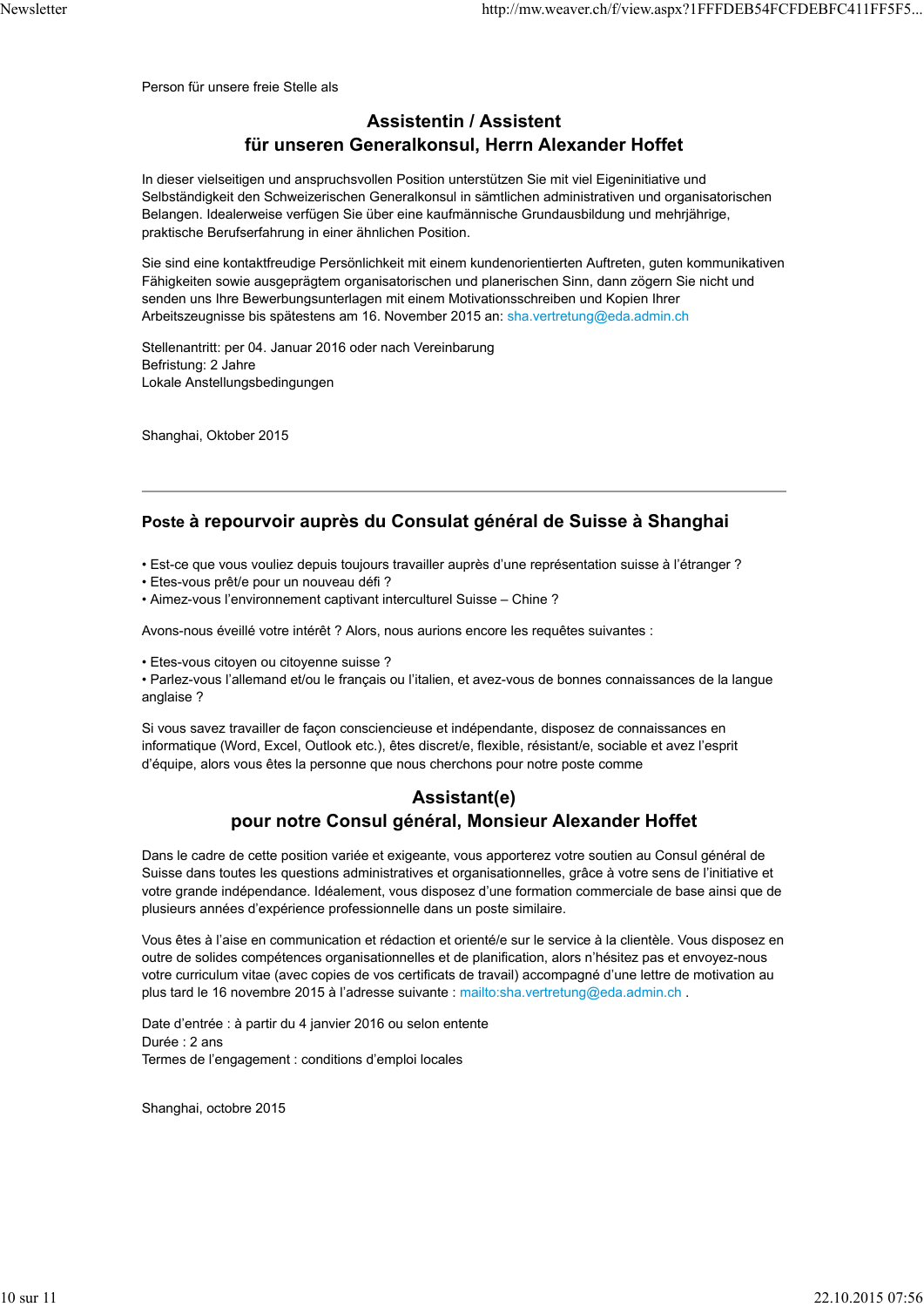### **Assistentin / Assistent für unseren Generalkonsul, Herrn Alexander Hoffet**

In dieser vielseitigen und anspruchsvollen Position unterstützen Sie mit viel Eigeninitiative und Selbständigkeit den Schweizerischen Generalkonsul in sämtlichen administrativen und organisatorischen Belangen. Idealerweise verfügen Sie über eine kaufmännische Grundausbildung und mehrjährige, praktische Berufserfahrung in einer ähnlichen Position.

Sie sind eine kontaktfreudige Persönlichkeit mit einem kundenorientierten Auftreten, guten kommunikativen Fähigkeiten sowie ausgeprägtem organisatorischen und planerischen Sinn, dann zögern Sie nicht und senden uns Ihre Bewerbungsunterlagen mit einem Motivationsschreiben und Kopien Ihrer Arbeitszeugnisse bis spätestens am 16. November 2015 an: sha.vertretung@eda.admin.ch

Stellenantritt: per 04. Januar 2016 oder nach Vereinbarung Befristung: 2 Jahre Lokale Anstellungsbedingungen

Shanghai, Oktober 2015

### **Poste à repourvoir auprès du Consulat général de Suisse à Shanghai**

• Est-ce que vous vouliez depuis toujours travailler auprès d'une représentation suisse à l'étranger ?

- Etes-vous prêt/e pour un nouveau défi ?
- Aimez-vous l'environnement captivant interculturel Suisse Chine ?

Avons-nous éveillé votre intérêt ? Alors, nous aurions encore les requêtes suivantes :

• Etes-vous citoyen ou citoyenne suisse ?

• Parlez-vous l'allemand et/ou le français ou l'italien, et avez-vous de bonnes connaissances de la langue anglaise ?

Si vous savez travailler de façon consciencieuse et indépendante, disposez de connaissances en informatique (Word, Excel, Outlook etc.), êtes discret/e, flexible, résistant/e, sociable et avez l'esprit d'équipe, alors vous êtes la personne que nous cherchons pour notre poste comme

### **Assistant(e) pour notre Consul général, Monsieur Alexander Hoffet**

Dans le cadre de cette position variée et exigeante, vous apporterez votre soutien au Consul général de Suisse dans toutes les questions administratives et organisationnelles, grâce à votre sens de l'initiative et votre grande indépendance. Idéalement, vous disposez d'une formation commerciale de base ainsi que de plusieurs années d'expérience professionnelle dans un poste similaire.

Vous êtes à l'aise en communication et rédaction et orienté/e sur le service à la clientèle. Vous disposez en outre de solides compétences organisationnelles et de planification, alors n'hésitez pas et envoyez-nous votre curriculum vitae (avec copies de vos certificats de travail) accompagné d'une lettre de motivation au plus tard le 16 novembre 2015 à l'adresse suivante : mailto:sha.vertretung@eda.admin.ch .

Date d'entrée : à partir du 4 janvier 2016 ou selon entente Durée : 2 ans Termes de l'engagement : conditions d'emploi locales

Shanghai, octobre 2015